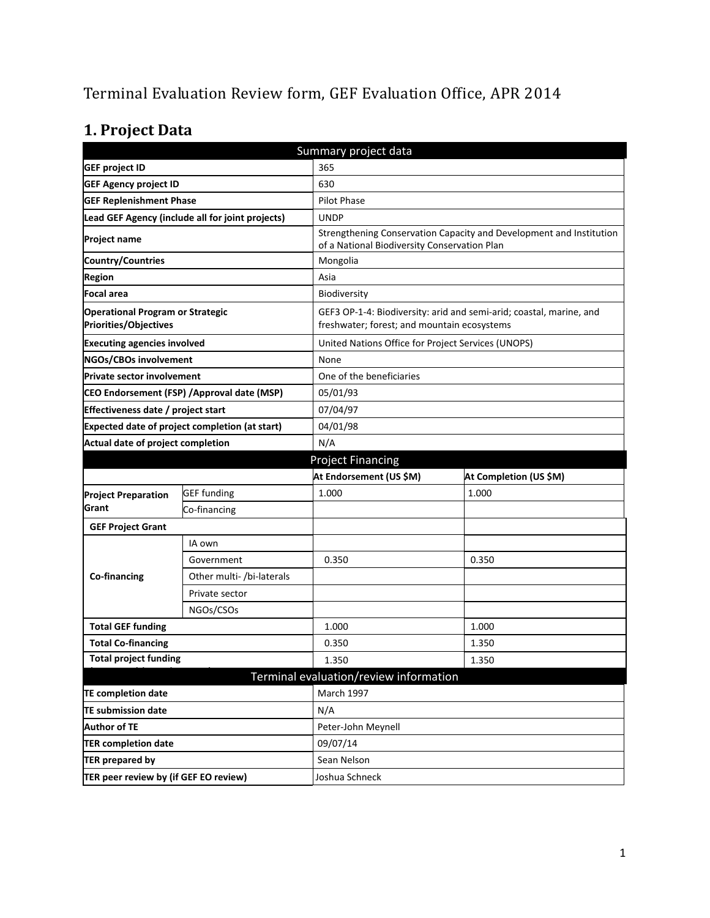# Terminal Evaluation Review form, GEF Evaluation Office, APR 2014

# **1. Project Data**

| Summary project data                                                    |                                                  |                                                    |                                                                                                                    |  |
|-------------------------------------------------------------------------|--------------------------------------------------|----------------------------------------------------|--------------------------------------------------------------------------------------------------------------------|--|
| <b>GEF project ID</b>                                                   |                                                  | 365                                                |                                                                                                                    |  |
| <b>GEF Agency project ID</b>                                            |                                                  | 630                                                |                                                                                                                    |  |
| <b>GEF Replenishment Phase</b>                                          |                                                  | <b>Pilot Phase</b>                                 |                                                                                                                    |  |
|                                                                         | Lead GEF Agency (include all for joint projects) | <b>UNDP</b>                                        |                                                                                                                    |  |
| <b>Project name</b>                                                     |                                                  | of a National Biodiversity Conservation Plan       | Strengthening Conservation Capacity and Development and Institution                                                |  |
| Country/Countries                                                       |                                                  | Mongolia                                           |                                                                                                                    |  |
| <b>Region</b>                                                           |                                                  | Asia                                               |                                                                                                                    |  |
| Focal area                                                              |                                                  | Biodiversity                                       |                                                                                                                    |  |
| <b>Operational Program or Strategic</b><br><b>Priorities/Objectives</b> |                                                  |                                                    | GEF3 OP-1-4: Biodiversity: arid and semi-arid; coastal, marine, and<br>freshwater; forest; and mountain ecosystems |  |
| <b>Executing agencies involved</b>                                      |                                                  | United Nations Office for Project Services (UNOPS) |                                                                                                                    |  |
| NGOs/CBOs involvement                                                   |                                                  | None                                               |                                                                                                                    |  |
| <b>Private sector involvement</b>                                       |                                                  | One of the beneficiaries                           |                                                                                                                    |  |
|                                                                         | CEO Endorsement (FSP) / Approval date (MSP)      | 05/01/93                                           |                                                                                                                    |  |
| Effectiveness date / project start                                      |                                                  | 07/04/97                                           |                                                                                                                    |  |
|                                                                         | Expected date of project completion (at start)   | 04/01/98                                           |                                                                                                                    |  |
| Actual date of project completion                                       |                                                  | N/A                                                |                                                                                                                    |  |
|                                                                         |                                                  | <b>Project Financing</b>                           |                                                                                                                    |  |
|                                                                         |                                                  | At Endorsement (US \$M)                            | At Completion (US \$M)                                                                                             |  |
| <b>Project Preparation</b>                                              | <b>GEF</b> funding                               | 1.000                                              | 1.000                                                                                                              |  |
| Grant                                                                   | Co-financing                                     |                                                    |                                                                                                                    |  |
| <b>GEF Project Grant</b>                                                |                                                  |                                                    |                                                                                                                    |  |
|                                                                         | IA own                                           |                                                    |                                                                                                                    |  |
|                                                                         | Government                                       | 0.350                                              | 0.350                                                                                                              |  |
| Co-financing                                                            | Other multi- /bi-laterals                        |                                                    |                                                                                                                    |  |
|                                                                         | Private sector                                   |                                                    |                                                                                                                    |  |
|                                                                         | NGOs/CSOs                                        |                                                    |                                                                                                                    |  |
| <b>Total GEF funding</b>                                                |                                                  | 1.000                                              | 1.000                                                                                                              |  |
| <b>Total Co-financing</b>                                               |                                                  | 0.350                                              | 1.350                                                                                                              |  |
| <b>Total project funding</b>                                            |                                                  | 1.350                                              | 1.350                                                                                                              |  |
|                                                                         |                                                  | Terminal evaluation/review information             |                                                                                                                    |  |
| <b>TE completion date</b>                                               |                                                  | March 1997                                         |                                                                                                                    |  |
| <b>TE submission date</b>                                               |                                                  | N/A                                                |                                                                                                                    |  |
| <b>Author of TE</b>                                                     |                                                  | Peter-John Meynell                                 |                                                                                                                    |  |
| <b>TER completion date</b>                                              |                                                  | 09/07/14                                           |                                                                                                                    |  |
| <b>TER prepared by</b>                                                  |                                                  | Sean Nelson                                        |                                                                                                                    |  |
| TER peer review by (if GEF EO review)                                   |                                                  | Joshua Schneck                                     |                                                                                                                    |  |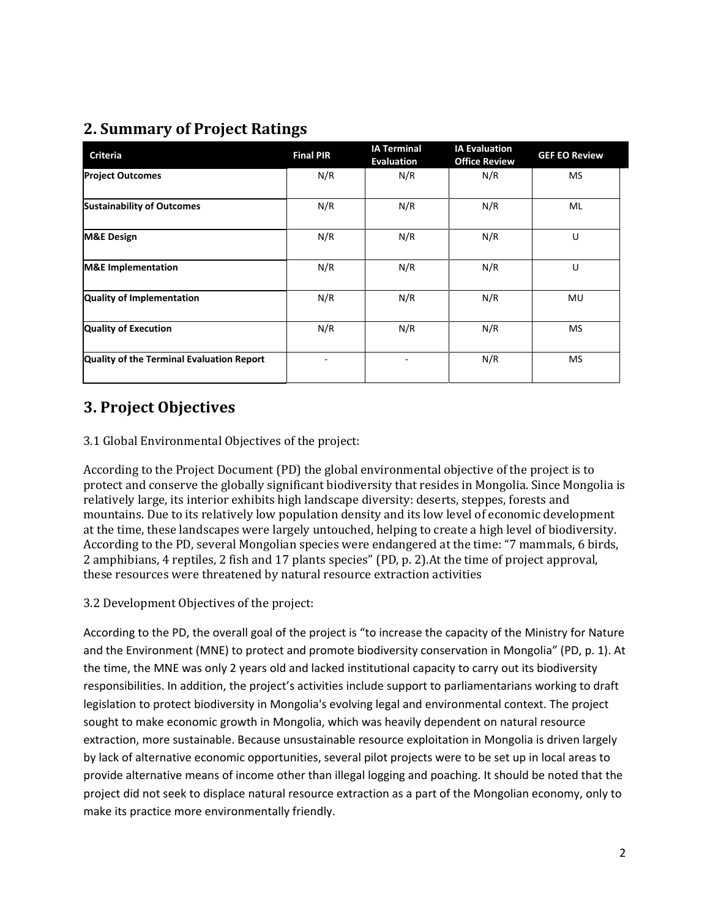## **2. Summary of Project Ratings**

| <b>Criteria</b>                           | <b>Final PIR</b> | <b>IA Terminal</b><br><b>Evaluation</b> | <b>IA Evaluation</b><br><b>Office Review</b> | <b>GEF EO Review</b> |
|-------------------------------------------|------------------|-----------------------------------------|----------------------------------------------|----------------------|
| <b>Project Outcomes</b>                   | N/R              | N/R                                     | N/R                                          | <b>MS</b>            |
| <b>Sustainability of Outcomes</b>         | N/R              | N/R                                     | N/R                                          | ML                   |
| <b>M&amp;E Design</b>                     | N/R              | N/R                                     | N/R                                          | U                    |
| <b>M&amp;E</b> Implementation             | N/R              | N/R                                     | N/R                                          | U                    |
| Quality of Implementation                 | N/R              | N/R                                     | N/R                                          | MU                   |
| <b>Quality of Execution</b>               | N/R              | N/R                                     | N/R                                          | MS                   |
| Quality of the Terminal Evaluation Report |                  |                                         | N/R                                          | <b>MS</b>            |

## **3. Project Objectives**

### 3.1 Global Environmental Objectives of the project:

According to the Project Document (PD) the global environmental objective of the project is to protect and conserve the globally significant biodiversity that resides in Mongolia. Since Mongolia is relatively large, its interior exhibits high landscape diversity: deserts, steppes, forests and mountains. Due to its relatively low population density and its low level of economic development at the time, these landscapes were largely untouched, helping to create a high level of biodiversity. According to the PD, several Mongolian species were endangered at the time: "7 mammals, 6 birds, 2 amphibians, 4 reptiles, 2 fish and 17 plants species" (PD, p. 2).At the time of project approval, these resources were threatened by natural resource extraction activities

### 3.2 Development Objectives of the project:

According to the PD, the overall goal of the project is "to increase the capacity of the Ministry for Nature and the Environment (MNE) to protect and promote biodiversity conservation in Mongolia" (PD, p. 1). At the time, the MNE was only 2 years old and lacked institutional capacity to carry out its biodiversity responsibilities. In addition, the project's activities include support to parliamentarians working to draft legislation to protect biodiversity in Mongolia's evolving legal and environmental context. The project sought to make economic growth in Mongolia, which was heavily dependent on natural resource extraction, more sustainable. Because unsustainable resource exploitation in Mongolia is driven largely by lack of alternative economic opportunities, several pilot projects were to be set up in local areas to provide alternative means of income other than illegal logging and poaching. It should be noted that the project did not seek to displace natural resource extraction as a part of the Mongolian economy, only to make its practice more environmentally friendly.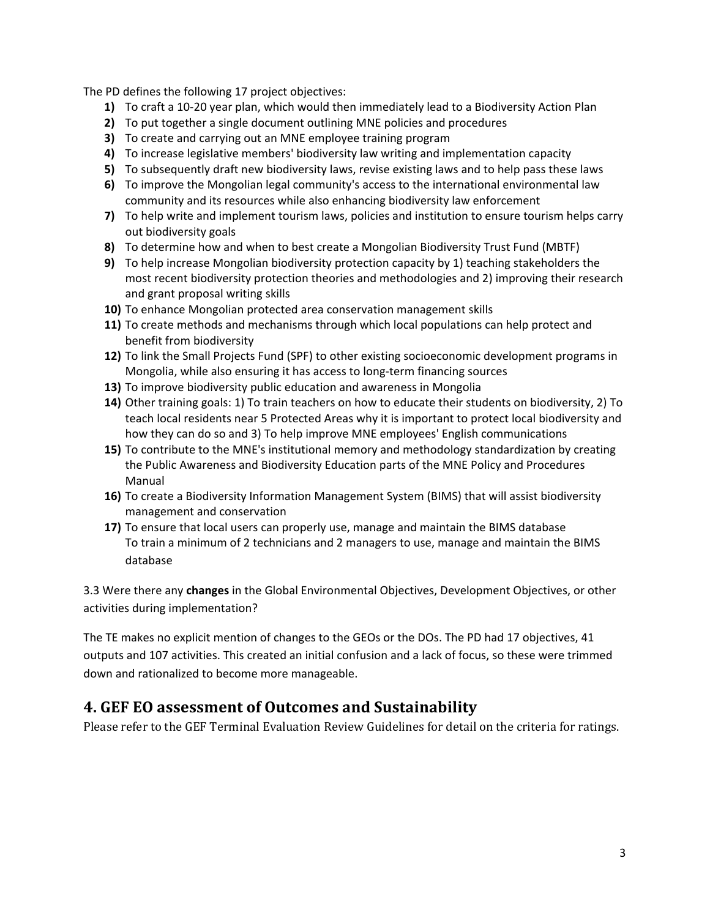The PD defines the following 17 project objectives:

- **1)** To craft a 10-20 year plan, which would then immediately lead to a Biodiversity Action Plan
- **2)** To put together a single document outlining MNE policies and procedures
- **3)** To create and carrying out an MNE employee training program
- **4)** To increase legislative members' biodiversity law writing and implementation capacity
- **5)** To subsequently draft new biodiversity laws, revise existing laws and to help pass these laws
- **6)** To improve the Mongolian legal community's access to the international environmental law community and its resources while also enhancing biodiversity law enforcement
- **7)** To help write and implement tourism laws, policies and institution to ensure tourism helps carry out biodiversity goals
- **8)** To determine how and when to best create a Mongolian Biodiversity Trust Fund (MBTF)
- **9)** To help increase Mongolian biodiversity protection capacity by 1) teaching stakeholders the most recent biodiversity protection theories and methodologies and 2) improving their research and grant proposal writing skills
- **10)** To enhance Mongolian protected area conservation management skills
- **11)** To create methods and mechanisms through which local populations can help protect and benefit from biodiversity
- **12)** To link the Small Projects Fund (SPF) to other existing socioeconomic development programs in Mongolia, while also ensuring it has access to long-term financing sources
- **13)** To improve biodiversity public education and awareness in Mongolia
- **14)** Other training goals: 1) To train teachers on how to educate their students on biodiversity, 2) To teach local residents near 5 Protected Areas why it is important to protect local biodiversity and how they can do so and 3) To help improve MNE employees' English communications
- **15)** To contribute to the MNE's institutional memory and methodology standardization by creating the Public Awareness and Biodiversity Education parts of the MNE Policy and Procedures Manual
- **16)** To create a Biodiversity Information Management System (BIMS) that will assist biodiversity management and conservation
- **17)** To ensure that local users can properly use, manage and maintain the BIMS database To train a minimum of 2 technicians and 2 managers to use, manage and maintain the BIMS database

3.3 Were there any **changes** in the Global Environmental Objectives, Development Objectives, or other activities during implementation?

The TE makes no explicit mention of changes to the GEOs or the DOs. The PD had 17 objectives, 41 outputs and 107 activities. This created an initial confusion and a lack of focus, so these were trimmed down and rationalized to become more manageable.

### **4. GEF EO assessment of Outcomes and Sustainability**

Please refer to the GEF Terminal Evaluation Review Guidelines for detail on the criteria for ratings.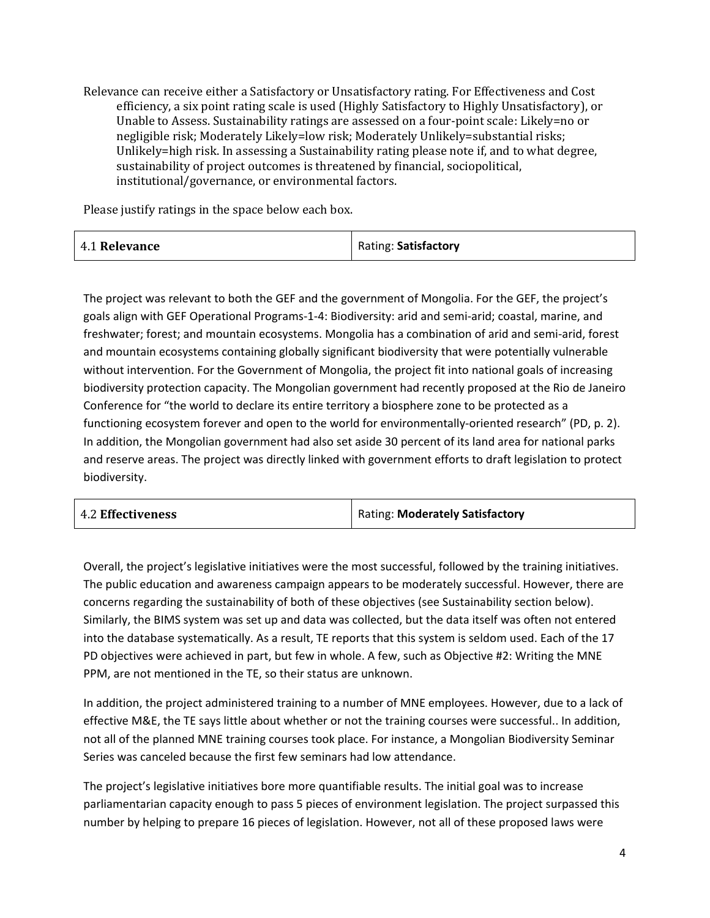Relevance can receive either a Satisfactory or Unsatisfactory rating. For Effectiveness and Cost efficiency, a six point rating scale is used (Highly Satisfactory to Highly Unsatisfactory), or Unable to Assess. Sustainability ratings are assessed on a four-point scale: Likely=no or negligible risk; Moderately Likely=low risk; Moderately Unlikely=substantial risks; Unlikely=high risk. In assessing a Sustainability rating please note if, and to what degree, sustainability of project outcomes is threatened by financial, sociopolitical, institutional/governance, or environmental factors.

Please justify ratings in the space below each box.

| 4.1 Relevance | Rating: Satisfactory |
|---------------|----------------------|
|               |                      |

The project was relevant to both the GEF and the government of Mongolia. For the GEF, the project's goals align with GEF Operational Programs-1-4: Biodiversity: arid and semi-arid; coastal, marine, and freshwater; forest; and mountain ecosystems. Mongolia has a combination of arid and semi-arid, forest and mountain ecosystems containing globally significant biodiversity that were potentially vulnerable without intervention. For the Government of Mongolia, the project fit into national goals of increasing biodiversity protection capacity. The Mongolian government had recently proposed at the Rio de Janeiro Conference for "the world to declare its entire territory a biosphere zone to be protected as a functioning ecosystem forever and open to the world for environmentally-oriented research" (PD, p. 2). In addition, the Mongolian government had also set aside 30 percent of its land area for national parks and reserve areas. The project was directly linked with government efforts to draft legislation to protect biodiversity.

| <b>4.2 Effectiveness</b> | Rating: Moderately Satisfactory |
|--------------------------|---------------------------------|
|                          |                                 |

Overall, the project's legislative initiatives were the most successful, followed by the training initiatives. The public education and awareness campaign appears to be moderately successful. However, there are concerns regarding the sustainability of both of these objectives (see Sustainability section below). Similarly, the BIMS system was set up and data was collected, but the data itself was often not entered into the database systematically. As a result, TE reports that this system is seldom used. Each of the 17 PD objectives were achieved in part, but few in whole. A few, such as Objective #2: Writing the MNE PPM, are not mentioned in the TE, so their status are unknown.

In addition, the project administered training to a number of MNE employees. However, due to a lack of effective M&E, the TE says little about whether or not the training courses were successful.. In addition, not all of the planned MNE training courses took place. For instance, a Mongolian Biodiversity Seminar Series was canceled because the first few seminars had low attendance.

The project's legislative initiatives bore more quantifiable results. The initial goal was to increase parliamentarian capacity enough to pass 5 pieces of environment legislation. The project surpassed this number by helping to prepare 16 pieces of legislation. However, not all of these proposed laws were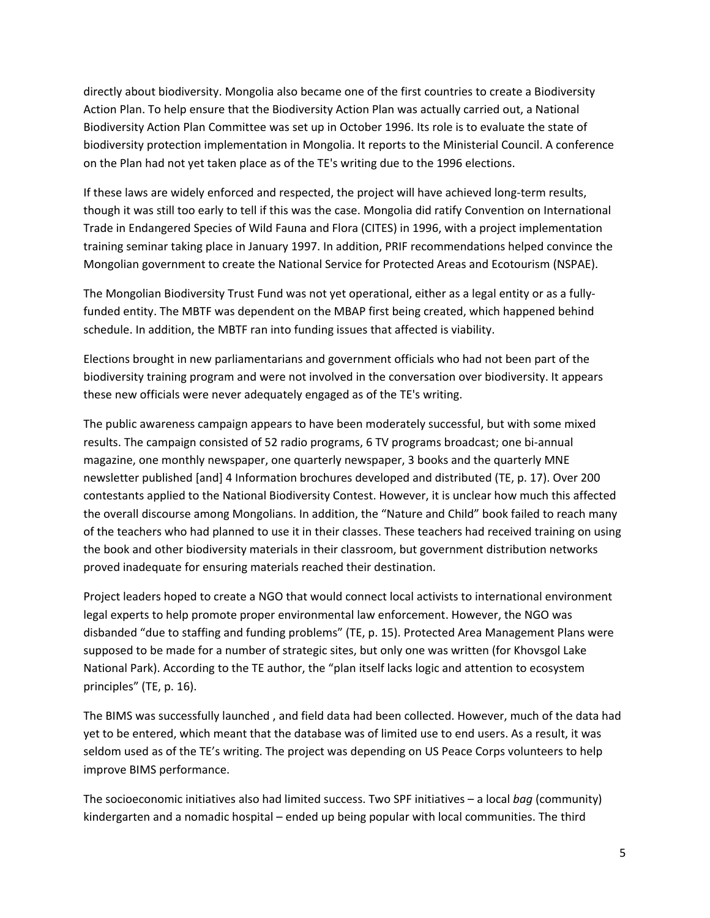directly about biodiversity. Mongolia also became one of the first countries to create a Biodiversity Action Plan. To help ensure that the Biodiversity Action Plan was actually carried out, a National Biodiversity Action Plan Committee was set up in October 1996. Its role is to evaluate the state of biodiversity protection implementation in Mongolia. It reports to the Ministerial Council. A conference on the Plan had not yet taken place as of the TE's writing due to the 1996 elections.

If these laws are widely enforced and respected, the project will have achieved long-term results, though it was still too early to tell if this was the case. Mongolia did ratify Convention on International Trade in Endangered Species of Wild Fauna and Flora (CITES) in 1996, with a project implementation training seminar taking place in January 1997. In addition, PRIF recommendations helped convince the Mongolian government to create the National Service for Protected Areas and Ecotourism (NSPAE).

The Mongolian Biodiversity Trust Fund was not yet operational, either as a legal entity or as a fullyfunded entity. The MBTF was dependent on the MBAP first being created, which happened behind schedule. In addition, the MBTF ran into funding issues that affected is viability.

Elections brought in new parliamentarians and government officials who had not been part of the biodiversity training program and were not involved in the conversation over biodiversity. It appears these new officials were never adequately engaged as of the TE's writing.

The public awareness campaign appears to have been moderately successful, but with some mixed results. The campaign consisted of 52 radio programs, 6 TV programs broadcast; one bi-annual magazine, one monthly newspaper, one quarterly newspaper, 3 books and the quarterly MNE newsletter published [and] 4 Information brochures developed and distributed (TE, p. 17). Over 200 contestants applied to the National Biodiversity Contest. However, it is unclear how much this affected the overall discourse among Mongolians. In addition, the "Nature and Child" book failed to reach many of the teachers who had planned to use it in their classes. These teachers had received training on using the book and other biodiversity materials in their classroom, but government distribution networks proved inadequate for ensuring materials reached their destination.

Project leaders hoped to create a NGO that would connect local activists to international environment legal experts to help promote proper environmental law enforcement. However, the NGO was disbanded "due to staffing and funding problems" (TE, p. 15). Protected Area Management Plans were supposed to be made for a number of strategic sites, but only one was written (for Khovsgol Lake National Park). According to the TE author, the "plan itself lacks logic and attention to ecosystem principles" (TE, p. 16).

The BIMS was successfully launched , and field data had been collected. However, much of the data had yet to be entered, which meant that the database was of limited use to end users. As a result, it was seldom used as of the TE's writing. The project was depending on US Peace Corps volunteers to help improve BIMS performance.

The socioeconomic initiatives also had limited success. Two SPF initiatives – a local *bag* (community) kindergarten and a nomadic hospital – ended up being popular with local communities. The third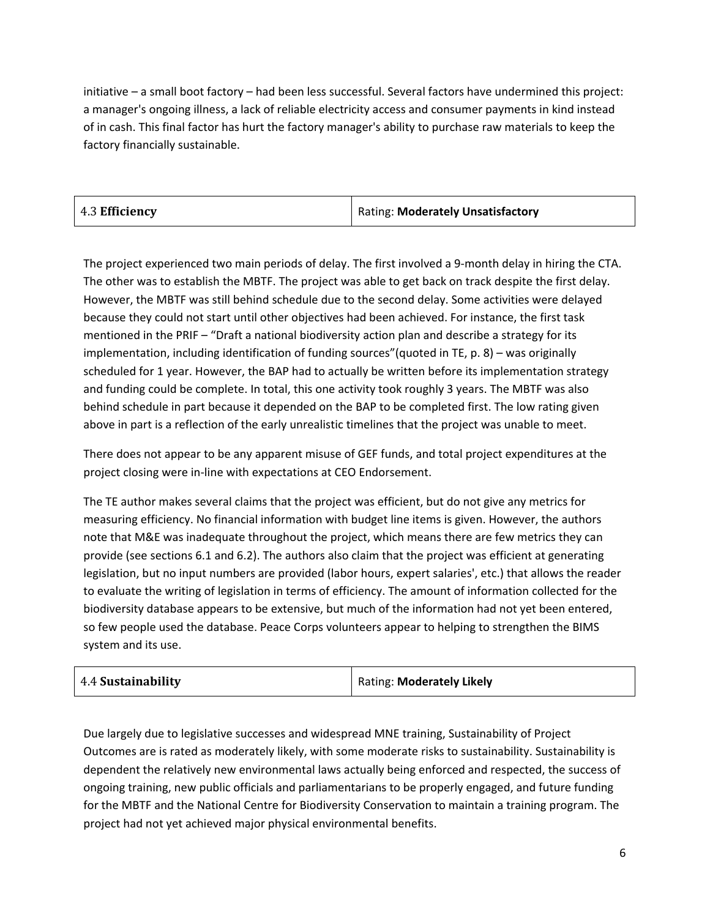initiative – a small boot factory – had been less successful. Several factors have undermined this project: a manager's ongoing illness, a lack of reliable electricity access and consumer payments in kind instead of in cash. This final factor has hurt the factory manager's ability to purchase raw materials to keep the factory financially sustainable.

| 4.3 Efficiency | Rating: Moderately Unsatisfactory |
|----------------|-----------------------------------|

The project experienced two main periods of delay. The first involved a 9-month delay in hiring the CTA. The other was to establish the MBTF. The project was able to get back on track despite the first delay. However, the MBTF was still behind schedule due to the second delay. Some activities were delayed because they could not start until other objectives had been achieved. For instance, the first task mentioned in the PRIF – "Draft a national biodiversity action plan and describe a strategy for its implementation, including identification of funding sources"(quoted in TE, p. 8) – was originally scheduled for 1 year. However, the BAP had to actually be written before its implementation strategy and funding could be complete. In total, this one activity took roughly 3 years. The MBTF was also behind schedule in part because it depended on the BAP to be completed first. The low rating given above in part is a reflection of the early unrealistic timelines that the project was unable to meet.

There does not appear to be any apparent misuse of GEF funds, and total project expenditures at the project closing were in-line with expectations at CEO Endorsement.

The TE author makes several claims that the project was efficient, but do not give any metrics for measuring efficiency. No financial information with budget line items is given. However, the authors note that M&E was inadequate throughout the project, which means there are few metrics they can provide (see sections 6.1 and 6.2). The authors also claim that the project was efficient at generating legislation, but no input numbers are provided (labor hours, expert salaries', etc.) that allows the reader to evaluate the writing of legislation in terms of efficiency. The amount of information collected for the biodiversity database appears to be extensive, but much of the information had not yet been entered, so few people used the database. Peace Corps volunteers appear to helping to strengthen the BIMS system and its use.

| 4.4 Sustainability | Rating: Moderately Likely |
|--------------------|---------------------------|
|--------------------|---------------------------|

Due largely due to legislative successes and widespread MNE training, Sustainability of Project Outcomes are is rated as moderately likely, with some moderate risks to sustainability. Sustainability is dependent the relatively new environmental laws actually being enforced and respected, the success of ongoing training, new public officials and parliamentarians to be properly engaged, and future funding for the MBTF and the National Centre for Biodiversity Conservation to maintain a training program. The project had not yet achieved major physical environmental benefits.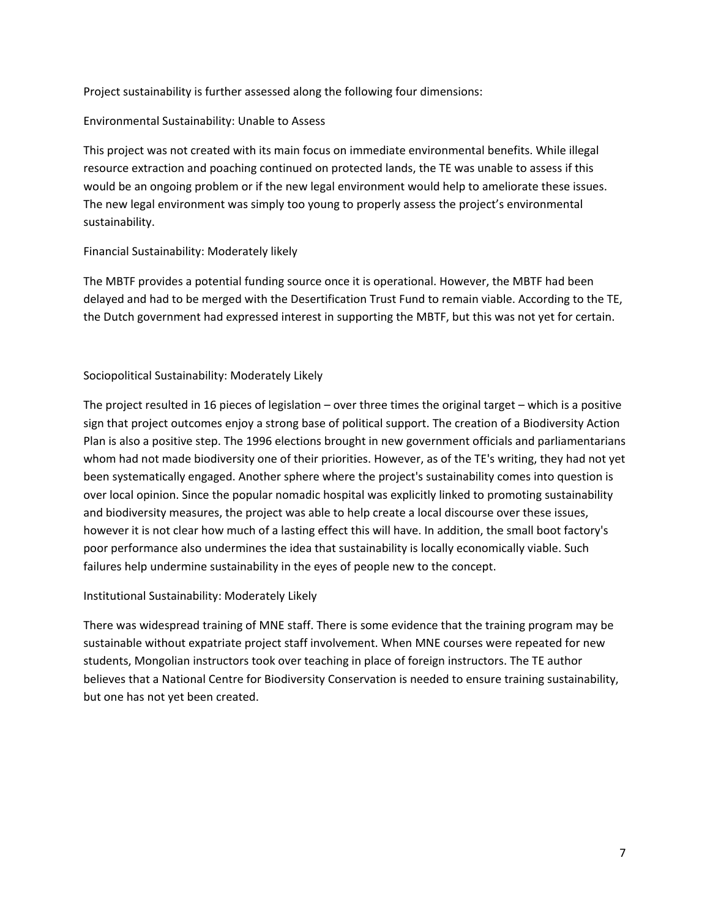Project sustainability is further assessed along the following four dimensions:

#### Environmental Sustainability: Unable to Assess

This project was not created with its main focus on immediate environmental benefits. While illegal resource extraction and poaching continued on protected lands, the TE was unable to assess if this would be an ongoing problem or if the new legal environment would help to ameliorate these issues. The new legal environment was simply too young to properly assess the project's environmental sustainability.

### Financial Sustainability: Moderately likely

The MBTF provides a potential funding source once it is operational. However, the MBTF had been delayed and had to be merged with the Desertification Trust Fund to remain viable. According to the TE, the Dutch government had expressed interest in supporting the MBTF, but this was not yet for certain.

### Sociopolitical Sustainability: Moderately Likely

The project resulted in 16 pieces of legislation – over three times the original target – which is a positive sign that project outcomes enjoy a strong base of political support. The creation of a Biodiversity Action Plan is also a positive step. The 1996 elections brought in new government officials and parliamentarians whom had not made biodiversity one of their priorities. However, as of the TE's writing, they had not yet been systematically engaged. Another sphere where the project's sustainability comes into question is over local opinion. Since the popular nomadic hospital was explicitly linked to promoting sustainability and biodiversity measures, the project was able to help create a local discourse over these issues, however it is not clear how much of a lasting effect this will have. In addition, the small boot factory's poor performance also undermines the idea that sustainability is locally economically viable. Such failures help undermine sustainability in the eyes of people new to the concept.

#### Institutional Sustainability: Moderately Likely

There was widespread training of MNE staff. There is some evidence that the training program may be sustainable without expatriate project staff involvement. When MNE courses were repeated for new students, Mongolian instructors took over teaching in place of foreign instructors. The TE author believes that a National Centre for Biodiversity Conservation is needed to ensure training sustainability, but one has not yet been created.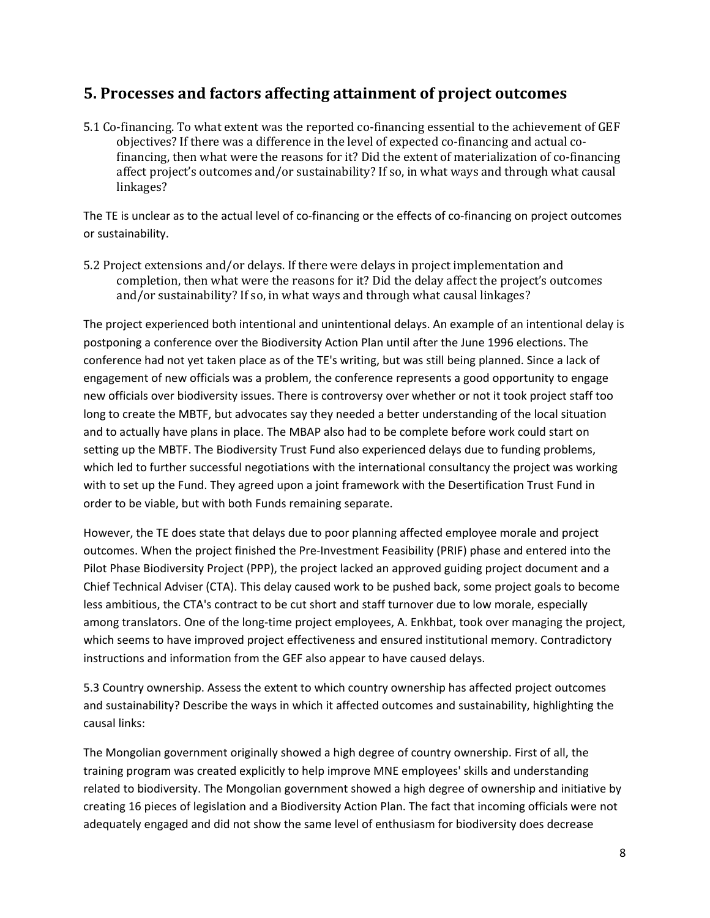### **5. Processes and factors affecting attainment of project outcomes**

5.1 Co-financing. To what extent was the reported co-financing essential to the achievement of GEF objectives? If there was a difference in the level of expected co-financing and actual cofinancing, then what were the reasons for it? Did the extent of materialization of co-financing affect project's outcomes and/or sustainability? If so, in what ways and through what causal linkages?

The TE is unclear as to the actual level of co-financing or the effects of co-financing on project outcomes or sustainability.

5.2 Project extensions and/or delays. If there were delays in project implementation and completion, then what were the reasons for it? Did the delay affect the project's outcomes and/or sustainability? If so, in what ways and through what causal linkages?

The project experienced both intentional and unintentional delays. An example of an intentional delay is postponing a conference over the Biodiversity Action Plan until after the June 1996 elections. The conference had not yet taken place as of the TE's writing, but was still being planned. Since a lack of engagement of new officials was a problem, the conference represents a good opportunity to engage new officials over biodiversity issues. There is controversy over whether or not it took project staff too long to create the MBTF, but advocates say they needed a better understanding of the local situation and to actually have plans in place. The MBAP also had to be complete before work could start on setting up the MBTF. The Biodiversity Trust Fund also experienced delays due to funding problems, which led to further successful negotiations with the international consultancy the project was working with to set up the Fund. They agreed upon a joint framework with the Desertification Trust Fund in order to be viable, but with both Funds remaining separate.

However, the TE does state that delays due to poor planning affected employee morale and project outcomes. When the project finished the Pre-Investment Feasibility (PRIF) phase and entered into the Pilot Phase Biodiversity Project (PPP), the project lacked an approved guiding project document and a Chief Technical Adviser (CTA). This delay caused work to be pushed back, some project goals to become less ambitious, the CTA's contract to be cut short and staff turnover due to low morale, especially among translators. One of the long-time project employees, A. Enkhbat, took over managing the project, which seems to have improved project effectiveness and ensured institutional memory. Contradictory instructions and information from the GEF also appear to have caused delays.

5.3 Country ownership. Assess the extent to which country ownership has affected project outcomes and sustainability? Describe the ways in which it affected outcomes and sustainability, highlighting the causal links:

The Mongolian government originally showed a high degree of country ownership. First of all, the training program was created explicitly to help improve MNE employees' skills and understanding related to biodiversity. The Mongolian government showed a high degree of ownership and initiative by creating 16 pieces of legislation and a Biodiversity Action Plan. The fact that incoming officials were not adequately engaged and did not show the same level of enthusiasm for biodiversity does decrease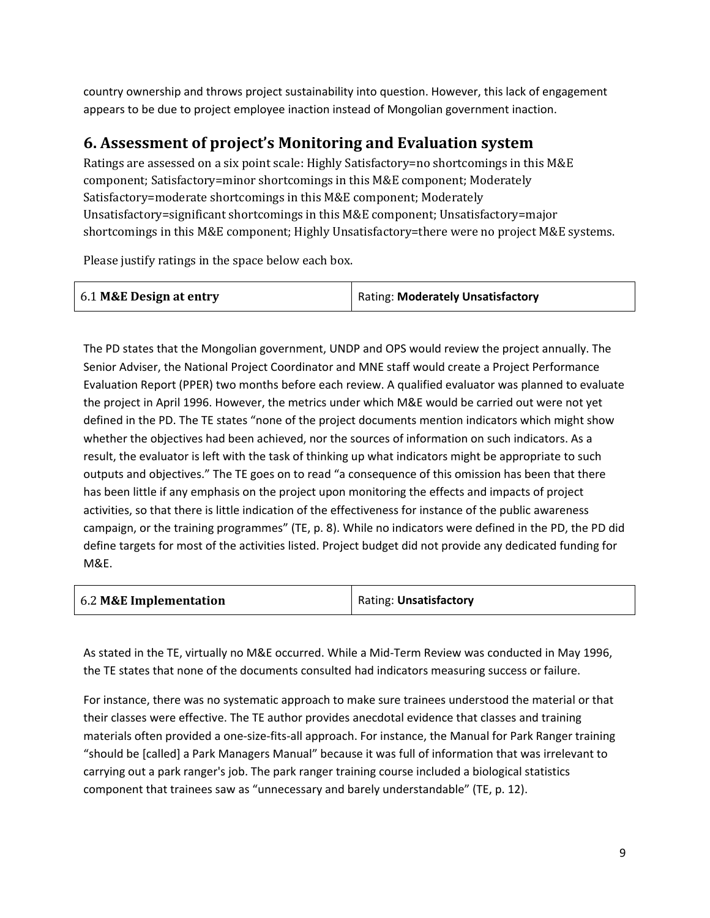country ownership and throws project sustainability into question. However, this lack of engagement appears to be due to project employee inaction instead of Mongolian government inaction.

### **6. Assessment of project's Monitoring and Evaluation system**

Ratings are assessed on a six point scale: Highly Satisfactory=no shortcomings in this M&E component; Satisfactory=minor shortcomings in this M&E component; Moderately Satisfactory=moderate shortcomings in this M&E component; Moderately Unsatisfactory=significant shortcomings in this M&E component; Unsatisfactory=major shortcomings in this M&E component; Highly Unsatisfactory=there were no project M&E systems.

Please justify ratings in the space below each box.

| 6.1 M&E Design at entry | <b>Rating: Moderately Unsatisfactory</b> |
|-------------------------|------------------------------------------|
|                         |                                          |

The PD states that the Mongolian government, UNDP and OPS would review the project annually. The Senior Adviser, the National Project Coordinator and MNE staff would create a Project Performance Evaluation Report (PPER) two months before each review. A qualified evaluator was planned to evaluate the project in April 1996. However, the metrics under which M&E would be carried out were not yet defined in the PD. The TE states "none of the project documents mention indicators which might show whether the objectives had been achieved, nor the sources of information on such indicators. As a result, the evaluator is left with the task of thinking up what indicators might be appropriate to such outputs and objectives." The TE goes on to read "a consequence of this omission has been that there has been little if any emphasis on the project upon monitoring the effects and impacts of project activities, so that there is little indication of the effectiveness for instance of the public awareness campaign, or the training programmes" (TE, p. 8). While no indicators were defined in the PD, the PD did define targets for most of the activities listed. Project budget did not provide any dedicated funding for M&E.

| 6.2 M&E Implementation | Rating: Unsatisfactory |  |
|------------------------|------------------------|--|
|                        |                        |  |

As stated in the TE, virtually no M&E occurred. While a Mid-Term Review was conducted in May 1996, the TE states that none of the documents consulted had indicators measuring success or failure.

For instance, there was no systematic approach to make sure trainees understood the material or that their classes were effective. The TE author provides anecdotal evidence that classes and training materials often provided a one-size-fits-all approach. For instance, the Manual for Park Ranger training "should be [called] a Park Managers Manual" because it was full of information that was irrelevant to carrying out a park ranger's job. The park ranger training course included a biological statistics component that trainees saw as "unnecessary and barely understandable" (TE, p. 12).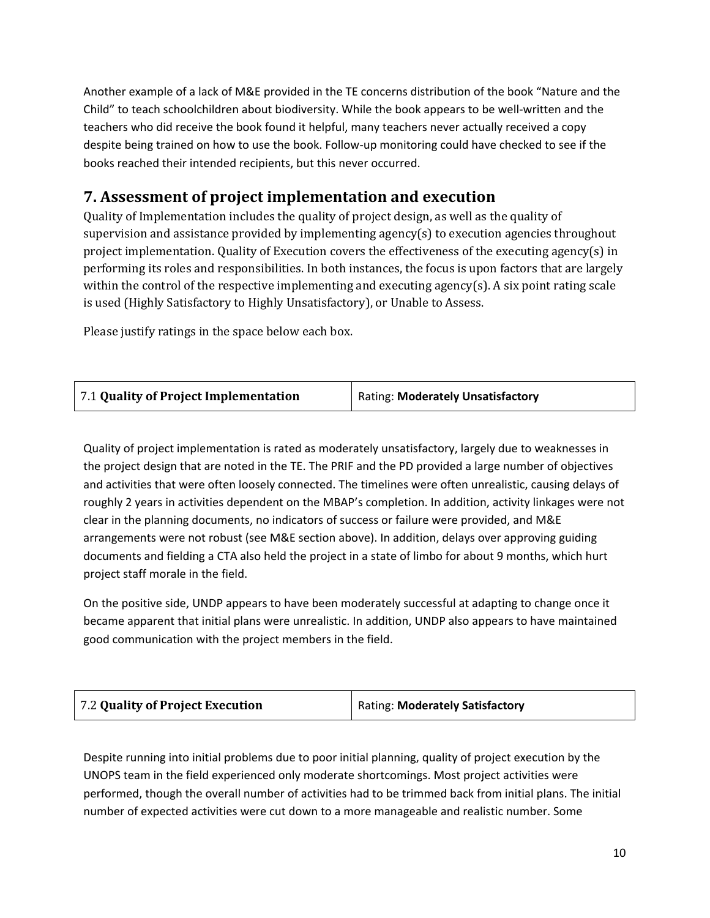Another example of a lack of M&E provided in the TE concerns distribution of the book "Nature and the Child" to teach schoolchildren about biodiversity. While the book appears to be well-written and the teachers who did receive the book found it helpful, many teachers never actually received a copy despite being trained on how to use the book. Follow-up monitoring could have checked to see if the books reached their intended recipients, but this never occurred.

# **7. Assessment of project implementation and execution**

Quality of Implementation includes the quality of project design, as well as the quality of supervision and assistance provided by implementing agency(s) to execution agencies throughout project implementation. Quality of Execution covers the effectiveness of the executing agency(s) in performing its roles and responsibilities. In both instances, the focus is upon factors that are largely within the control of the respective implementing and executing agency(s). A six point rating scale is used (Highly Satisfactory to Highly Unsatisfactory), or Unable to Assess.

Please justify ratings in the space below each box.

| 7.1 Quality of Project Implementation | <b>Rating: Moderately Unsatisfactory</b> |
|---------------------------------------|------------------------------------------|
|                                       |                                          |

Quality of project implementation is rated as moderately unsatisfactory, largely due to weaknesses in the project design that are noted in the TE. The PRIF and the PD provided a large number of objectives and activities that were often loosely connected. The timelines were often unrealistic, causing delays of roughly 2 years in activities dependent on the MBAP's completion. In addition, activity linkages were not clear in the planning documents, no indicators of success or failure were provided, and M&E arrangements were not robust (see M&E section above). In addition, delays over approving guiding documents and fielding a CTA also held the project in a state of limbo for about 9 months, which hurt project staff morale in the field.

On the positive side, UNDP appears to have been moderately successful at adapting to change once it became apparent that initial plans were unrealistic. In addition, UNDP also appears to have maintained good communication with the project members in the field.

| 7.2 Quality of Project Execution | Rating: Moderately Satisfactory |
|----------------------------------|---------------------------------|
|                                  |                                 |

Despite running into initial problems due to poor initial planning, quality of project execution by the UNOPS team in the field experienced only moderate shortcomings. Most project activities were performed, though the overall number of activities had to be trimmed back from initial plans. The initial number of expected activities were cut down to a more manageable and realistic number. Some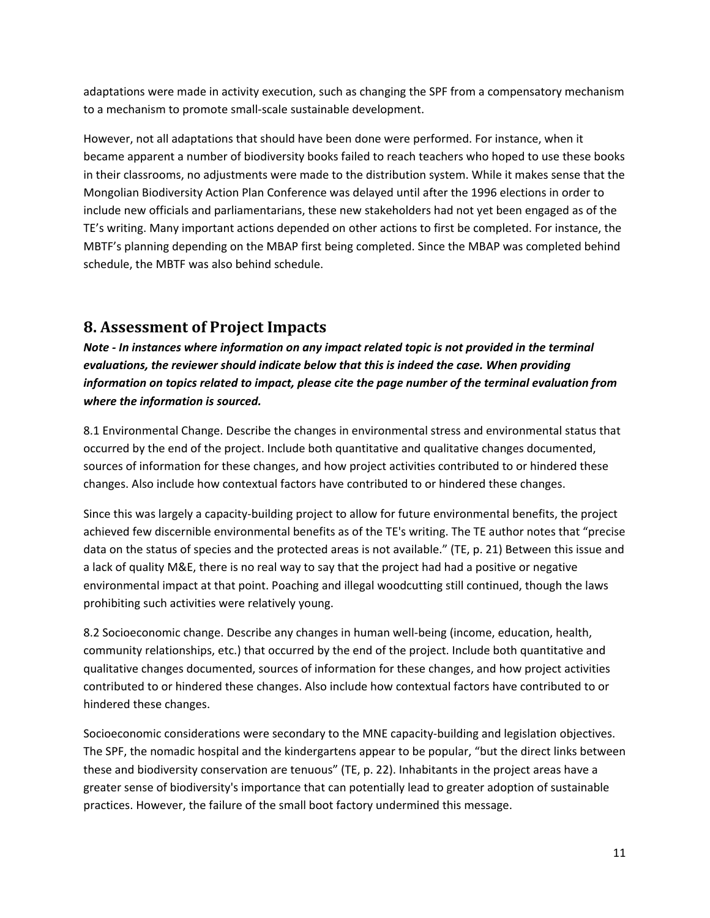adaptations were made in activity execution, such as changing the SPF from a compensatory mechanism to a mechanism to promote small-scale sustainable development.

However, not all adaptations that should have been done were performed. For instance, when it became apparent a number of biodiversity books failed to reach teachers who hoped to use these books in their classrooms, no adjustments were made to the distribution system. While it makes sense that the Mongolian Biodiversity Action Plan Conference was delayed until after the 1996 elections in order to include new officials and parliamentarians, these new stakeholders had not yet been engaged as of the TE's writing. Many important actions depended on other actions to first be completed. For instance, the MBTF's planning depending on the MBAP first being completed. Since the MBAP was completed behind schedule, the MBTF was also behind schedule.

### **8. Assessment of Project Impacts**

*Note - In instances where information on any impact related topic is not provided in the terminal evaluations, the reviewer should indicate below that this is indeed the case. When providing information on topics related to impact, please cite the page number of the terminal evaluation from where the information is sourced.*

8.1 Environmental Change. Describe the changes in environmental stress and environmental status that occurred by the end of the project. Include both quantitative and qualitative changes documented, sources of information for these changes, and how project activities contributed to or hindered these changes. Also include how contextual factors have contributed to or hindered these changes.

Since this was largely a capacity-building project to allow for future environmental benefits, the project achieved few discernible environmental benefits as of the TE's writing. The TE author notes that "precise data on the status of species and the protected areas is not available." (TE, p. 21) Between this issue and a lack of quality M&E, there is no real way to say that the project had had a positive or negative environmental impact at that point. Poaching and illegal woodcutting still continued, though the laws prohibiting such activities were relatively young.

8.2 Socioeconomic change. Describe any changes in human well-being (income, education, health, community relationships, etc.) that occurred by the end of the project. Include both quantitative and qualitative changes documented, sources of information for these changes, and how project activities contributed to or hindered these changes. Also include how contextual factors have contributed to or hindered these changes.

Socioeconomic considerations were secondary to the MNE capacity-building and legislation objectives. The SPF, the nomadic hospital and the kindergartens appear to be popular, "but the direct links between these and biodiversity conservation are tenuous" (TE, p. 22). Inhabitants in the project areas have a greater sense of biodiversity's importance that can potentially lead to greater adoption of sustainable practices. However, the failure of the small boot factory undermined this message.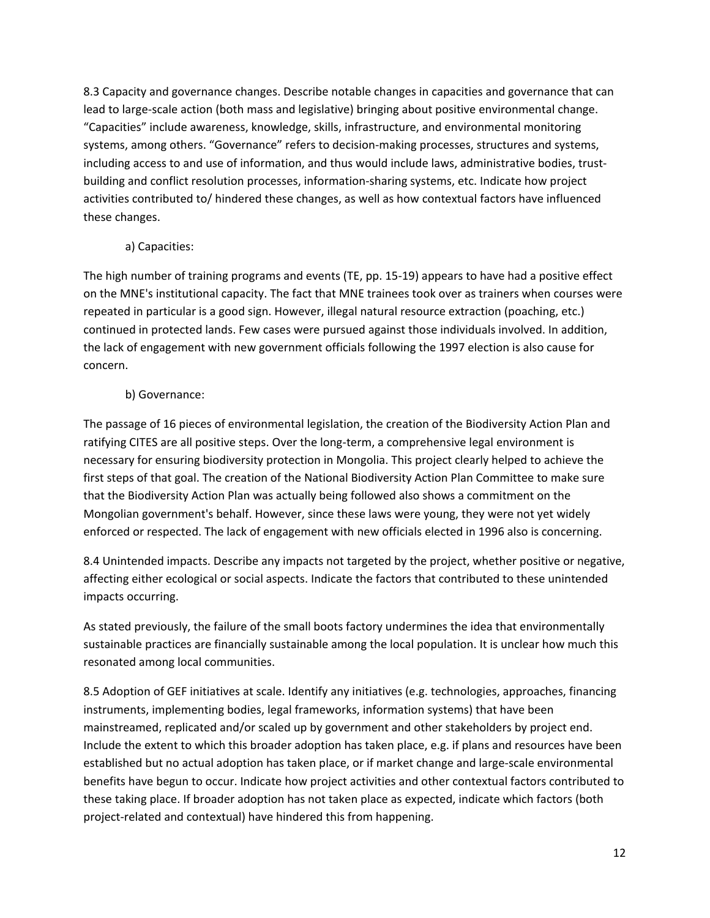8.3 Capacity and governance changes. Describe notable changes in capacities and governance that can lead to large-scale action (both mass and legislative) bringing about positive environmental change. "Capacities" include awareness, knowledge, skills, infrastructure, and environmental monitoring systems, among others. "Governance" refers to decision-making processes, structures and systems, including access to and use of information, and thus would include laws, administrative bodies, trustbuilding and conflict resolution processes, information-sharing systems, etc. Indicate how project activities contributed to/ hindered these changes, as well as how contextual factors have influenced these changes.

### a) Capacities:

The high number of training programs and events (TE, pp. 15-19) appears to have had a positive effect on the MNE's institutional capacity. The fact that MNE trainees took over as trainers when courses were repeated in particular is a good sign. However, illegal natural resource extraction (poaching, etc.) continued in protected lands. Few cases were pursued against those individuals involved. In addition, the lack of engagement with new government officials following the 1997 election is also cause for concern.

### b) Governance:

The passage of 16 pieces of environmental legislation, the creation of the Biodiversity Action Plan and ratifying CITES are all positive steps. Over the long-term, a comprehensive legal environment is necessary for ensuring biodiversity protection in Mongolia. This project clearly helped to achieve the first steps of that goal. The creation of the National Biodiversity Action Plan Committee to make sure that the Biodiversity Action Plan was actually being followed also shows a commitment on the Mongolian government's behalf. However, since these laws were young, they were not yet widely enforced or respected. The lack of engagement with new officials elected in 1996 also is concerning.

8.4 Unintended impacts. Describe any impacts not targeted by the project, whether positive or negative, affecting either ecological or social aspects. Indicate the factors that contributed to these unintended impacts occurring.

As stated previously, the failure of the small boots factory undermines the idea that environmentally sustainable practices are financially sustainable among the local population. It is unclear how much this resonated among local communities.

8.5 Adoption of GEF initiatives at scale. Identify any initiatives (e.g. technologies, approaches, financing instruments, implementing bodies, legal frameworks, information systems) that have been mainstreamed, replicated and/or scaled up by government and other stakeholders by project end. Include the extent to which this broader adoption has taken place, e.g. if plans and resources have been established but no actual adoption has taken place, or if market change and large-scale environmental benefits have begun to occur. Indicate how project activities and other contextual factors contributed to these taking place. If broader adoption has not taken place as expected, indicate which factors (both project-related and contextual) have hindered this from happening.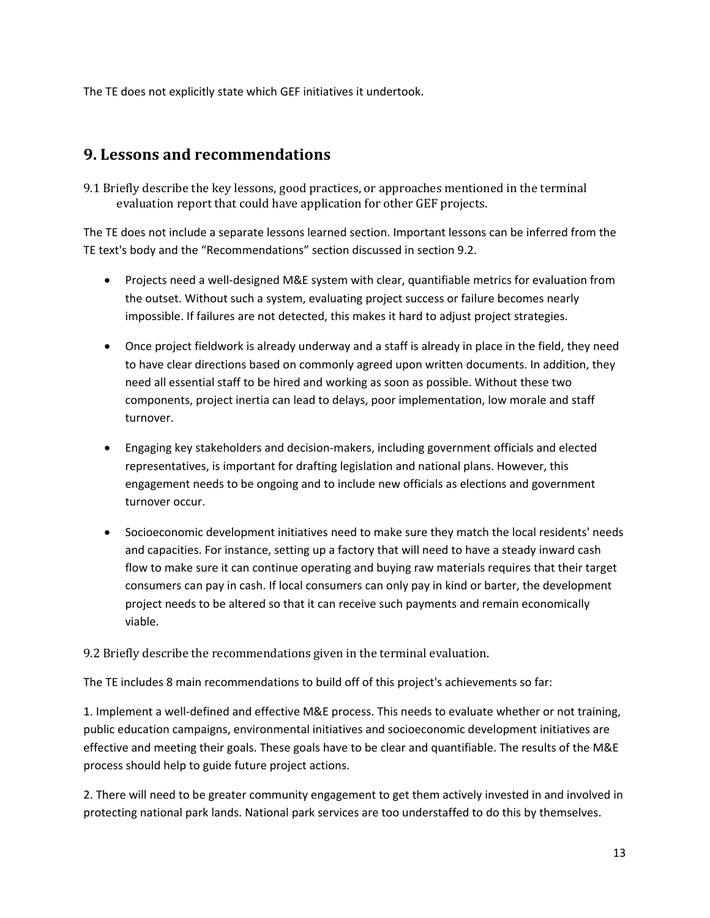The TE does not explicitly state which GEF initiatives it undertook.

### **9. Lessons and recommendations**

9.1 Briefly describe the key lessons, good practices, or approaches mentioned in the terminal evaluation report that could have application for other GEF projects.

The TE does not include a separate lessons learned section. Important lessons can be inferred from the TE text's body and the "Recommendations" section discussed in section 9.2.

- Projects need a well-designed M&E system with clear, quantifiable metrics for evaluation from the outset. Without such a system, evaluating project success or failure becomes nearly impossible. If failures are not detected, this makes it hard to adjust project strategies.
- Once project fieldwork is already underway and a staff is already in place in the field, they need to have clear directions based on commonly agreed upon written documents. In addition, they need all essential staff to be hired and working as soon as possible. Without these two components, project inertia can lead to delays, poor implementation, low morale and staff turnover.
- Engaging key stakeholders and decision-makers, including government officials and elected representatives, is important for drafting legislation and national plans. However, this engagement needs to be ongoing and to include new officials as elections and government turnover occur.
- Socioeconomic development initiatives need to make sure they match the local residents' needs and capacities. For instance, setting up a factory that will need to have a steady inward cash flow to make sure it can continue operating and buying raw materials requires that their target consumers can pay in cash. If local consumers can only pay in kind or barter, the development project needs to be altered so that it can receive such payments and remain economically viable.

### 9.2 Briefly describe the recommendations given in the terminal evaluation.

The TE includes 8 main recommendations to build off of this project's achievements so far:

1. Implement a well-defined and effective M&E process. This needs to evaluate whether or not training, public education campaigns, environmental initiatives and socioeconomic development initiatives are effective and meeting their goals. These goals have to be clear and quantifiable. The results of the M&E process should help to guide future project actions.

2. There will need to be greater community engagement to get them actively invested in and involved in protecting national park lands. National park services are too understaffed to do this by themselves.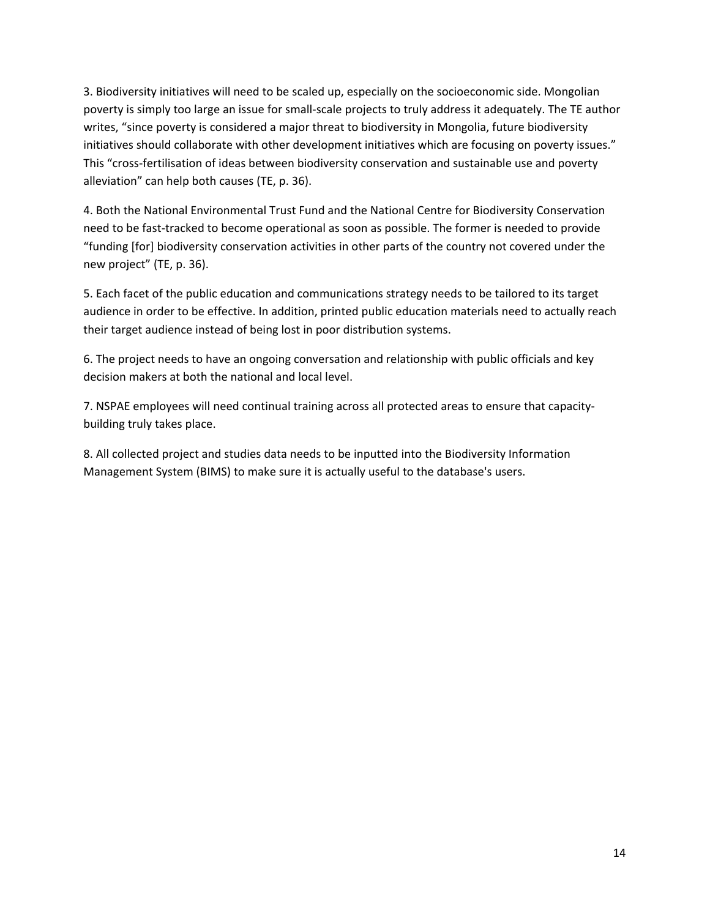3. Biodiversity initiatives will need to be scaled up, especially on the socioeconomic side. Mongolian poverty is simply too large an issue for small-scale projects to truly address it adequately. The TE author writes, "since poverty is considered a major threat to biodiversity in Mongolia, future biodiversity initiatives should collaborate with other development initiatives which are focusing on poverty issues." This "cross-fertilisation of ideas between biodiversity conservation and sustainable use and poverty alleviation" can help both causes (TE, p. 36).

4. Both the National Environmental Trust Fund and the National Centre for Biodiversity Conservation need to be fast-tracked to become operational as soon as possible. The former is needed to provide "funding [for] biodiversity conservation activities in other parts of the country not covered under the new project" (TE, p. 36).

5. Each facet of the public education and communications strategy needs to be tailored to its target audience in order to be effective. In addition, printed public education materials need to actually reach their target audience instead of being lost in poor distribution systems.

6. The project needs to have an ongoing conversation and relationship with public officials and key decision makers at both the national and local level.

7. NSPAE employees will need continual training across all protected areas to ensure that capacitybuilding truly takes place.

8. All collected project and studies data needs to be inputted into the Biodiversity Information Management System (BIMS) to make sure it is actually useful to the database's users.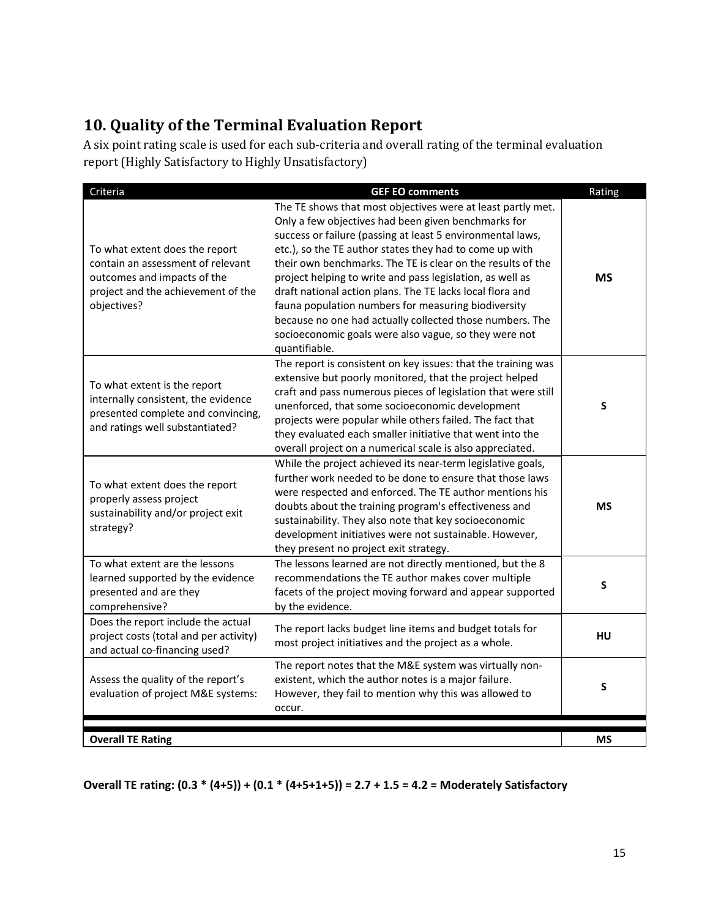# **10. Quality of the Terminal Evaluation Report**

A six point rating scale is used for each sub-criteria and overall rating of the terminal evaluation report (Highly Satisfactory to Highly Unsatisfactory)

| Criteria                                                                                                                                                | <b>GEF EO comments</b>                                                                                                                                                                                                                                                                                                                                                                                                                                                                                                                                                                                                            | Rating    |
|---------------------------------------------------------------------------------------------------------------------------------------------------------|-----------------------------------------------------------------------------------------------------------------------------------------------------------------------------------------------------------------------------------------------------------------------------------------------------------------------------------------------------------------------------------------------------------------------------------------------------------------------------------------------------------------------------------------------------------------------------------------------------------------------------------|-----------|
| To what extent does the report<br>contain an assessment of relevant<br>outcomes and impacts of the<br>project and the achievement of the<br>objectives? | The TE shows that most objectives were at least partly met.<br>Only a few objectives had been given benchmarks for<br>success or failure (passing at least 5 environmental laws,<br>etc.), so the TE author states they had to come up with<br>their own benchmarks. The TE is clear on the results of the<br>project helping to write and pass legislation, as well as<br>draft national action plans. The TE lacks local flora and<br>fauna population numbers for measuring biodiversity<br>because no one had actually collected those numbers. The<br>socioeconomic goals were also vague, so they were not<br>quantifiable. | МS        |
| To what extent is the report<br>internally consistent, the evidence<br>presented complete and convincing,<br>and ratings well substantiated?            | The report is consistent on key issues: that the training was<br>extensive but poorly monitored, that the project helped<br>craft and pass numerous pieces of legislation that were still<br>unenforced, that some socioeconomic development<br>projects were popular while others failed. The fact that<br>they evaluated each smaller initiative that went into the<br>overall project on a numerical scale is also appreciated.                                                                                                                                                                                                | S         |
| To what extent does the report<br>properly assess project<br>sustainability and/or project exit<br>strategy?                                            | While the project achieved its near-term legislative goals,<br>further work needed to be done to ensure that those laws<br>were respected and enforced. The TE author mentions his<br>doubts about the training program's effectiveness and<br>sustainability. They also note that key socioeconomic<br>development initiatives were not sustainable. However,<br>they present no project exit strategy.                                                                                                                                                                                                                          | <b>MS</b> |
| To what extent are the lessons<br>learned supported by the evidence<br>presented and are they<br>comprehensive?                                         | The lessons learned are not directly mentioned, but the 8<br>recommendations the TE author makes cover multiple<br>facets of the project moving forward and appear supported<br>by the evidence.                                                                                                                                                                                                                                                                                                                                                                                                                                  | S         |
| Does the report include the actual<br>project costs (total and per activity)<br>and actual co-financing used?                                           | The report lacks budget line items and budget totals for<br>most project initiatives and the project as a whole.                                                                                                                                                                                                                                                                                                                                                                                                                                                                                                                  | HU        |
| Assess the quality of the report's<br>evaluation of project M&E systems:                                                                                | The report notes that the M&E system was virtually non-<br>existent, which the author notes is a major failure.<br>However, they fail to mention why this was allowed to<br>occur.                                                                                                                                                                                                                                                                                                                                                                                                                                                | S         |
| <b>Overall TE Rating</b>                                                                                                                                |                                                                                                                                                                                                                                                                                                                                                                                                                                                                                                                                                                                                                                   | <b>MS</b> |

**Overall TE rating: (0.3 \* (4+5)) + (0.1 \* (4+5+1+5)) = 2.7 + 1.5 = 4.2 = Moderately Satisfactory**